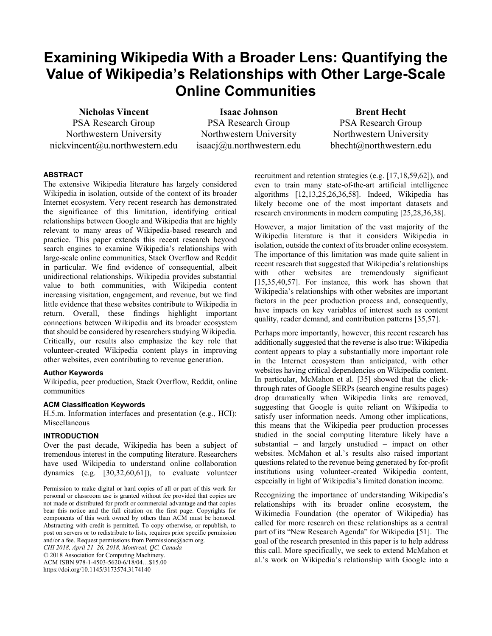# **Examining Wikipedia With a Broader Lens: Quantifying the Value of Wikipedia's Relationships with Other Large-Scale Online Communities**

**Nicholas Vincent** PSA Research Group Northwestern University nickvincent@u.northwestern.edu

**Isaac Johnson** PSA Research Group Northwestern University isaacj@u.northwestern.edu

## **Brent Hecht**

PSA Research Group Northwestern University bhecht@northwestern.edu

## **ABSTRACT**

The extensive Wikipedia literature has largely considered Wikipedia in isolation, outside of the context of its broader Internet ecosystem. Very recent research has demonstrated the significance of this limitation, identifying critical relationships between Google and Wikipedia that are highly relevant to many areas of Wikipedia-based research and practice. This paper extends this recent research beyond search engines to examine Wikipedia's relationships with large-scale online communities, Stack Overflow and Reddit in particular. We find evidence of consequential, albeit unidirectional relationships. Wikipedia provides substantial value to both communities, with Wikipedia content increasing visitation, engagement, and revenue, but we find little evidence that these websites contribute to Wikipedia in return. Overall, these findings highlight important connections between Wikipedia and its broader ecosystem that should be considered by researchers studying Wikipedia. Critically, our results also emphasize the key role that volunteer-created Wikipedia content plays in improving other websites, even contributing to revenue generation.

## **Author Keywords**

Wikipedia, peer production, Stack Overflow, Reddit, online communities

## **ACM Classification Keywords**

H.5.m. Information interfaces and presentation (e.g., HCI): Miscellaneous

## **INTRODUCTION**

Over the past decade, Wikipedia has been a subject of tremendous interest in the computing literature. Researchers have used Wikipedia to understand online collaboration dynamics (e.g. [30,32,60,61]), to evaluate volunteer

Permission to make digital or hard copies of all or part of this work for personal or classroom use is granted without fee provided that copies are not made or distributed for profit or commercial advantage and that copies bear this notice and the full citation on the first page. Copyrights for components of this work owned by others than ACM must be honored. Abstracting with credit is permitted. To copy otherwise, or republish, to post on servers or to redistribute to lists, requires prior specific permission and/or a fee. Request permissions from Permissions@acm.org. *CHI 2018, April 21–26, 2018, Montreal, QC, Canada* 

© 2018 Association for Computing Machinery. ACM ISBN 978-1-4503-5620-6/18/04…\$15.00 https://doi.org/10.1145/3173574.3174140

recruitment and retention strategies (e.g. [17,18,59,62]), and even to train many state-of-the-art artificial intelligence algorithms [12,13,25,26,36,58]. Indeed, Wikipedia has likely become one of the most important datasets and research environments in modern computing [25,28,36,38].

However, a major limitation of the vast majority of the Wikipedia literature is that it considers Wikipedia in isolation, outside the context of its broader online ecosystem. The importance of this limitation was made quite salient in recent research that suggested that Wikipedia's relationships with other websites are tremendously significant [15,35,40,57]. For instance, this work has shown that Wikipedia's relationships with other websites are important factors in the peer production process and, consequently, have impacts on key variables of interest such as content quality, reader demand, and contribution patterns [35,57].

Perhaps more importantly, however, this recent research has additionally suggested that the reverse is also true: Wikipedia content appears to play a substantially more important role in the Internet ecosystem than anticipated, with other websites having critical dependencies on Wikipedia content. In particular, McMahon et al. [35] showed that the clickthrough rates of Google SERPs (search engine results pages) drop dramatically when Wikipedia links are removed, suggesting that Google is quite reliant on Wikipedia to satisfy user information needs. Among other implications, this means that the Wikipedia peer production processes studied in the social computing literature likely have a substantial – and largely unstudied – impact on other websites. McMahon et al.'s results also raised important questions related to the revenue being generated by for-profit institutions using volunteer-created Wikipedia content, especially in light of Wikipedia's limited donation income.

Recognizing the importance of understanding Wikipedia's relationships with its broader online ecosystem, the Wikimedia Foundation (the operator of Wikipedia) has called for more research on these relationships as a central part of its "New Research Agenda" for Wikipedia [51]. The goal of the research presented in this paper is to help address this call. More specifically, we seek to extend McMahon et al.'s work on Wikipedia's relationship with Google into a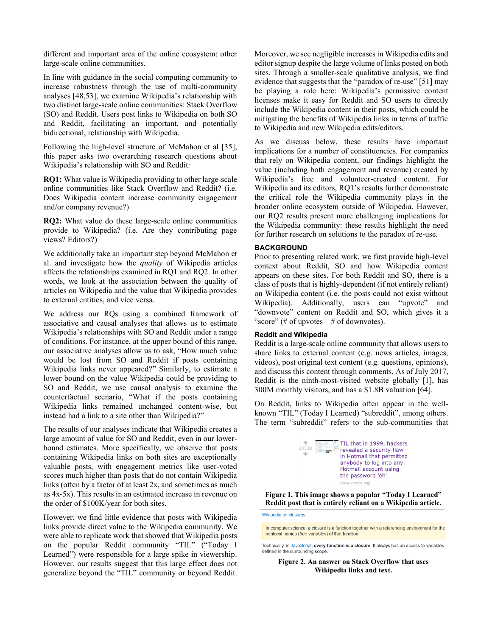different and important area of the online ecosystem: other large-scale online communities.

In line with guidance in the social computing community to increase robustness through the use of multi-community analyses [48,53], we examine Wikipedia's relationship with two distinct large-scale online communities: Stack Overflow (SO) and Reddit. Users post links to Wikipedia on both SO and Reddit, facilitating an important, and potentially bidirectional, relationship with Wikipedia.

Following the high-level structure of McMahon et al [35], this paper asks two overarching research questions about Wikipedia's relationship with SO and Reddit*:*

**RQ1:** What value is Wikipedia providing to other large-scale online communities like Stack Overflow and Reddit? (i.e. Does Wikipedia content increase community engagement and/or company revenue?)

**RQ2:** What value do these large-scale online communities provide to Wikipedia? (i.e. Are they contributing page views? Editors?)

We additionally take an important step beyond McMahon et al. and investigate how the *quality* of Wikipedia articles affects the relationships examined in RQ1 and RQ2. In other words, we look at the association between the quality of articles on Wikipedia and the value that Wikipedia provides to external entities, and vice versa.

We address our RQs using a combined framework of associative and causal analyses that allows us to estimate Wikipedia's relationships with SO and Reddit under a range of conditions. For instance, at the upper bound of this range, our associative analyses allow us to ask, "How much value would be lost from SO and Reddit if posts containing Wikipedia links never appeared?" Similarly, to estimate a lower bound on the value Wikipedia could be providing to SO and Reddit, we use causal analysis to examine the counterfactual scenario, "What if the posts containing Wikipedia links remained unchanged content-wise, but instead had a link to a site other than Wikipedia?"

The results of our analyses indicate that Wikipedia creates a large amount of value for SO and Reddit, even in our lowerbound estimates. More specifically, we observe that posts containing Wikipedia links on both sites are exceptionally valuable posts, with engagement metrics like user-voted scores much higher than posts that do not contain Wikipedia links (often by a factor of at least 2x, and sometimes as much as 4x-5x). This results in an estimated increase in revenue on the order of \$100K/year for both sites.

However, we find little evidence that posts with Wikipedia links provide direct value to the Wikipedia community. We were able to replicate work that showed that Wikipedia posts on the popular Reddit community "TIL" ("Today I Learned") were responsible for a large spike in viewership. However, our results suggest that this large effect does not generalize beyond the "TIL" community or beyond Reddit.

Moreover, we see negligible increases in Wikipedia edits and editor signup despite the large volume of links posted on both sites. Through a smaller-scale qualitative analysis, we find evidence that suggests that the "paradox of re-use" [51] may be playing a role here: Wikipedia's permissive content licenses make it easy for Reddit and SO users to directly include the Wikipedia content in their posts, which could be mitigating the benefits of Wikipedia links in terms of traffic to Wikipedia and new Wikipedia edits/editors.

As we discuss below, these results have important implications for a number of constituencies. For companies that rely on Wikipedia content, our findings highlight the value (including both engagement and revenue) created by Wikipedia's free and volunteer-created content. For Wikipedia and its editors, RQ1's results further demonstrate the critical role the Wikipedia community plays in the broader online ecosystem outside of Wikipedia. However, our RQ2 results present more challenging implications for the Wikipedia community: these results highlight the need for further research on solutions to the paradox of re-use.

## **BACKGROUND**

Prior to presenting related work, we first provide high-level context about Reddit, SO and how Wikipedia content appears on these sites. For both Reddit and SO, there is a class of posts that is highly-dependent (if not entirely reliant) on Wikipedia content (i.e. the posts could not exist without Wikipedia). Additionally, users can "upvote" and "downvote" content on Reddit and SO, which gives it a "score" (# of upvotes  $-$  # of downvotes).

## **Reddit and Wikipedia**

Reddit is a large-scale online community that allows users to share links to external content (e.g. news articles, images, videos), post original text content (e.g. questions, opinions), and discuss this content through comments. As of July 2017, Reddit is the ninth-most-visited website globally [1], has 300M monthly visitors, and has a \$1.8B valuation [64].

On Reddit, links to Wikipedia often appear in the wellknown "TIL" (Today I Learned) "subreddit", among others. The term "subreddit" refers to the sub-communities that



**Figure 1. This image shows a popular "Today I Learned" Reddit post that is entirely reliant on a Wikipedia article.**

Wikipedia on closures:

In computer science, a closure is a function together with a referencing environment for the nonlocal names (free variables) of that function

Technically, in JavaScript, every function is a closure. It always has an access to variables defined in the surrounding scope

**Figure 2. An answer on Stack Overflow that uses Wikipedia links and text.**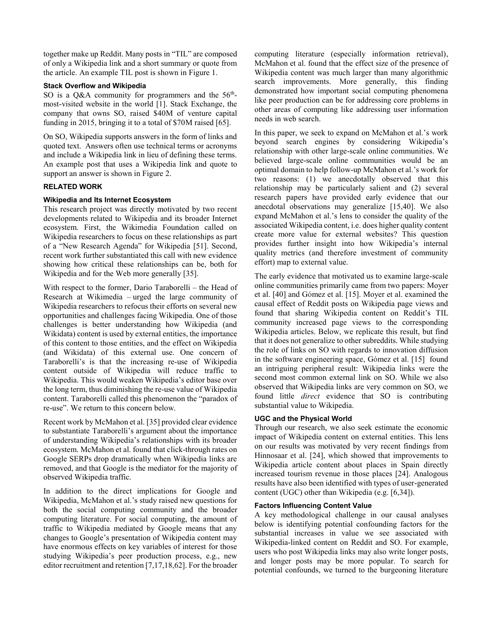together make up Reddit. Many posts in "TIL" are composed of only a Wikipedia link and a short summary or quote from the article. An example TIL post is shown in Figure 1.

## **Stack Overflow and Wikipedia**

SO is a Q&A community for programmers and the 56<sup>th</sup>most-visited website in the world [1]. Stack Exchange, the company that owns SO, raised \$40M of venture capital funding in 2015, bringing it to a total of \$70M raised [65].

On SO, Wikipedia supports answers in the form of links and quoted text. Answers often use technical terms or acronyms and include a Wikipedia link in lieu of defining these terms. An example post that uses a Wikipedia link and quote to support an answer is shown in Figure 2.

## **RELATED WORK**

## **Wikipedia and Its Internet Ecosystem**

This research project was directly motivated by two recent developments related to Wikipedia and its broader Internet ecosystem. First, the Wikimedia Foundation called on Wikipedia researchers to focus on these relationships as part of a "New Research Agenda" for Wikipedia [51]. Second, recent work further substantiated this call with new evidence showing how critical these relationships can be, both for Wikipedia and for the Web more generally [35].

With respect to the former, Dario Taraborelli – the Head of Research at Wikimedia – urged the large community of Wikipedia researchers to refocus their efforts on several new opportunities and challenges facing Wikipedia. One of those challenges is better understanding how Wikipedia (and Wikidata) content is used by external entities, the importance of this content to those entities, and the effect on Wikipedia (and Wikidata) of this external use. One concern of Taraborelli's is that the increasing re-use of Wikipedia content outside of Wikipedia will reduce traffic to Wikipedia. This would weaken Wikipedia's editor base over the long term, thus diminishing the re-use value of Wikipedia content. Taraborelli called this phenomenon the "paradox of re-use". We return to this concern below.

Recent work by McMahon et al. [35] provided clear evidence to substantiate Taraborelli's argument about the importance of understanding Wikipedia's relationships with its broader ecosystem. McMahon et al. found that click-through rates on Google SERPs drop dramatically when Wikipedia links are removed, and that Google is the mediator for the majority of observed Wikipedia traffic.

In addition to the direct implications for Google and Wikipedia, McMahon et al.'s study raised new questions for both the social computing community and the broader computing literature. For social computing, the amount of traffic to Wikipedia mediated by Google means that any changes to Google's presentation of Wikipedia content may have enormous effects on key variables of interest for those studying Wikipedia's peer production process, e.g., new editor recruitment and retention [7,17,18,62]. For the broader

computing literature (especially information retrieval), McMahon et al. found that the effect size of the presence of Wikipedia content was much larger than many algorithmic search improvements. More generally, this finding demonstrated how important social computing phenomena like peer production can be for addressing core problems in other areas of computing like addressing user information needs in web search.

In this paper, we seek to expand on McMahon et al.'s work beyond search engines by considering Wikipedia's relationship with other large-scale online communities. We believed large-scale online communities would be an optimal domain to help follow-up McMahon et al.'s work for two reasons: (1) we anecdotally observed that this relationship may be particularly salient and (2) several research papers have provided early evidence that our anecdotal observations may generalize [15,40]. We also expand McMahon et al.'s lens to consider the quality of the associated Wikipedia content, i.e. does higher quality content create more value for external websites? This question provides further insight into how Wikipedia's internal quality metrics (and therefore investment of community effort) map to external value.

The early evidence that motivated us to examine large-scale online communities primarily came from two papers: Moyer et al. [40] and Gómez et al. [15]. Moyer et al. examined the causal effect of Reddit posts on Wikipedia page views and found that sharing Wikipedia content on Reddit's TIL community increased page views to the corresponding Wikipedia articles. Below, we replicate this result, but find that it does not generalize to other subreddits. While studying the role of links on SO with regards to innovation diffusion in the software engineering space, Gómez et al. [15] found an intriguing peripheral result: Wikipedia links were the second most common external link on SO. While we also observed that Wikipedia links are very common on SO, we found little *direct* evidence that SO is contributing substantial value to Wikipedia.

## **UGC and the Physical World**

Through our research, we also seek estimate the economic impact of Wikipedia content on external entities. This lens on our results was motivated by very recent findings from Hinnosaar et al. [24], which showed that improvements to Wikipedia article content about places in Spain directly increased tourism revenue in those places [24]. Analogous results have also been identified with types of user-generated content (UGC) other than Wikipedia (e.g. [6,34]).

## **Factors Influencing Content Value**

A key methodological challenge in our causal analyses below is identifying potential confounding factors for the substantial increases in value we see associated with Wikipedia-linked content on Reddit and SO. For example, users who post Wikipedia links may also write longer posts, and longer posts may be more popular. To search for potential confounds, we turned to the burgeoning literature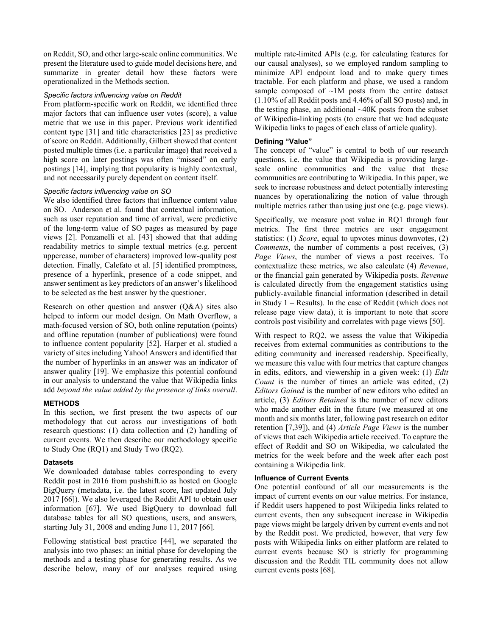on Reddit, SO, and other large-scale online communities. We present the literature used to guide model decisions here, and summarize in greater detail how these factors were operationalized in the Methods section.

#### *Specific factors influencing value on Reddit*

From platform-specific work on Reddit, we identified three major factors that can influence user votes (score), a value metric that we use in this paper. Previous work identified content type [31] and title characteristics [23] as predictive of score on Reddit. Additionally, Gilbert showed that content posted multiple times (i.e. a particular image) that received a high score on later postings was often "missed" on early postings [14], implying that popularity is highly contextual, and not necessarily purely dependent on content itself.

## *Specific factors influencing value on SO*

We also identified three factors that influence content value on SO. Anderson et al. found that contextual information, such as user reputation and time of arrival, were predictive of the long-term value of SO pages as measured by page views [2]. Ponzanelli et al. [43] showed that that adding readability metrics to simple textual metrics (e.g. percent uppercase, number of characters) improved low-quality post detection. Finally, Calefato et al. [5] identified promptness, presence of a hyperlink, presence of a code snippet, and answer sentiment as key predictors of an answer's likelihood to be selected as the best answer by the questioner.

Research on other question and answer (Q&A) sites also helped to inform our model design. On Math Overflow, a math-focused version of SO, both online reputation (points) and offline reputation (number of publications) were found to influence content popularity [52]. Harper et al. studied a variety of sites including Yahoo! Answers and identified that the number of hyperlinks in an answer was an indicator of answer quality [19]. We emphasize this potential confound in our analysis to understand the value that Wikipedia links add *beyond the value added by the presence of links overall*.

#### **METHODS**

In this section, we first present the two aspects of our methodology that cut across our investigations of both research questions: (1) data collection and (2) handling of current events. We then describe our methodology specific to Study One (RQ1) and Study Two (RQ2).

#### **Datasets**

We downloaded database tables corresponding to every Reddit post in 2016 from pushshift.io as hosted on Google BigQuery (metadata, i.e. the latest score, last updated July 2017 [66]). We also leveraged the Reddit API to obtain user information [67]. We used BigQuery to download full database tables for all SO questions, users, and answers, starting July 31, 2008 and ending June 11, 2017 [66].

Following statistical best practice [44], we separated the analysis into two phases: an initial phase for developing the methods and a testing phase for generating results. As we describe below, many of our analyses required using multiple rate-limited APIs (e.g. for calculating features for our causal analyses), so we employed random sampling to minimize API endpoint load and to make query times tractable. For each platform and phase, we used a random sample composed of  $\sim$ 1M posts from the entire dataset (1.10% of all Reddit posts and 4.46% of all SO posts) and, in the testing phase, an additional  $\sim$ 40K posts from the subset of Wikipedia-linking posts (to ensure that we had adequate Wikipedia links to pages of each class of article quality).

## **Defining "Value"**

The concept of "value" is central to both of our research questions, i.e. the value that Wikipedia is providing largescale online communities and the value that these communities are contributing to Wikipedia. In this paper, we seek to increase robustness and detect potentially interesting nuances by operationalizing the notion of value through multiple metrics rather than using just one (e.g. page views).

Specifically, we measure post value in RQ1 through four metrics. The first three metrics are user engagement statistics: (1) *Score*, equal to upvotes minus downvotes, (2) *Comments*, the number of comments a post receives, (3) *Page Views*, the number of views a post receives. To contextualize these metrics, we also calculate (4) *Revenue*, or the financial gain generated by Wikipedia posts. *Revenue* is calculated directly from the engagement statistics using publicly-available financial information (described in detail in Study 1 – Results). In the case of Reddit (which does not release page view data), it is important to note that score controls post visibility and correlates with page views [50].

With respect to RQ2, we assess the value that Wikipedia receives from external communities as contributions to the editing community and increased readership. Specifically, we measure this value with four metrics that capture changes in edits, editors, and viewership in a given week: (1) *Edit Count* is the number of times an article was edited, (2) *Editors Gained* is the number of new editors who edited an article, (3) *Editors Retained* is the number of new editors who made another edit in the future (we measured at one month and six months later, following past research on editor retention [7,39]), and (4) *Article Page Views* is the number of views that each Wikipedia article received. To capture the effect of Reddit and SO on Wikipedia, we calculated the metrics for the week before and the week after each post containing a Wikipedia link.

## **Influence of Current Events**

One potential confound of all our measurements is the impact of current events on our value metrics. For instance, if Reddit users happened to post Wikipedia links related to current events, then any subsequent increase in Wikipedia page views might be largely driven by current events and not by the Reddit post. We predicted, however, that very few posts with Wikipedia links on either platform are related to current events because SO is strictly for programming discussion and the Reddit TIL community does not allow current events posts [68].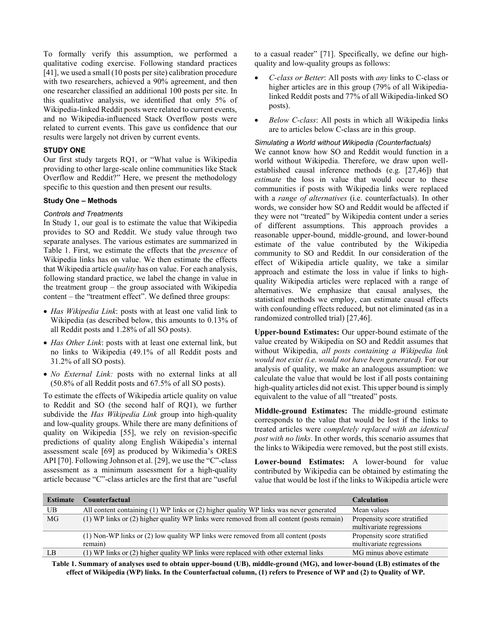To formally verify this assumption, we performed a qualitative coding exercise. Following standard practices [41], we used a small (10 posts per site) calibration procedure with two researchers, achieved a 90% agreement, and then one researcher classified an additional 100 posts per site. In this qualitative analysis, we identified that only 5% of Wikipedia-linked Reddit posts were related to current events, and no Wikipedia-influenced Stack Overflow posts were related to current events. This gave us confidence that our results were largely not driven by current events.

## **STUDY ONE**

Our first study targets RQ1, or "What value is Wikipedia providing to other large-scale online communities like Stack Overflow and Reddit?" Here, we present the methodology specific to this question and then present our results.

#### **Study One – Methods**

#### *Controls and Treatments*

In Study 1, our goal is to estimate the value that Wikipedia provides to SO and Reddit. We study value through two separate analyses. The various estimates are summarized in Table 1. First, we estimate the effects that the *presence* of Wikipedia links has on value. We then estimate the effects that Wikipedia article *quality* has on value. For each analysis, following standard practice, we label the change in value in the treatment group – the group associated with Wikipedia content – the "treatment effect". We defined three groups:

- *Has Wikipedia Link*: posts with at least one valid link to Wikipedia (as described below, this amounts to 0.13% of all Reddit posts and 1.28% of all SO posts).
- *Has Other Link*: posts with at least one external link, but no links to Wikipedia (49.1% of all Reddit posts and 31.2% of all SO posts).
- *No External Link:* posts with no external links at all (50.8% of all Reddit posts and 67.5% of all SO posts).

To estimate the effects of Wikipedia article quality on value to Reddit and SO (the second half of RQ1), we further subdivide the *Has Wikipedia Link* group into high-quality and low-quality groups. While there are many definitions of quality on Wikipedia [55], we rely on revision-specific predictions of quality along English Wikipedia's internal assessment scale [69] as produced by Wikimedia's ORES API [70]. Following Johnson et al. [29], we use the "C"-class assessment as a minimum assessment for a high-quality article because "C"-class articles are the first that are "useful

to a casual reader" [71]. Specifically, we define our highquality and low-quality groups as follows:

- *C-class or Better*: All posts with *any* links to C-class or higher articles are in this group (79% of all Wikipedialinked Reddit posts and 77% of all Wikipedia-linked SO posts).
- *Below C-class*: All posts in which all Wikipedia links are to articles below C-class are in this group.

#### *Simulating a World without Wikipedia (Counterfactuals)*

We cannot know how SO and Reddit would function in a world without Wikipedia. Therefore, we draw upon wellestablished causal inference methods (e.g. [27,46]) that *estimate* the loss in value that would occur to these communities if posts with Wikipedia links were replaced with a *range of alternatives* (i.e. counterfactuals). In other words, we consider how SO and Reddit would be affected if they were not "treated" by Wikipedia content under a series of different assumptions. This approach provides a reasonable upper-bound, middle-ground, and lower-bound estimate of the value contributed by the Wikipedia community to SO and Reddit*.* In our consideration of the effect of Wikipedia article quality, we take a similar approach and estimate the loss in value if links to highquality Wikipedia articles were replaced with a range of alternatives. We emphasize that causal analyses, the statistical methods we employ, can estimate causal effects with confounding effects reduced, but not eliminated (as in a randomized controlled trial) [27,46].

**Upper-bound Estimates:** Our upper-bound estimate of the value created by Wikipedia on SO and Reddit assumes that without Wikipedia, *all posts containing a Wikipedia link would not exist (i.e. would not have been generated).* For our analysis of quality, we make an analogous assumption: we calculate the value that would be lost if all posts containing high-quality articles did not exist. This upper bound is simply equivalent to the value of all "treated" posts.

**Middle-ground Estimates:** The middle-ground estimate corresponds to the value that would be lost if the links to treated articles were *completely replaced with an identical post with no links*. In other words, this scenario assumes that the links to Wikipedia were removed, but the post still exists.

**Lower-bound Estimates:** A lower-bound for value contributed by Wikipedia can be obtained by estimating the value that would be lost if the links to Wikipedia article were

| <b>Estimate</b> | <b>Counterfactual</b>                                                                    | <b>Calculation</b>                                      |
|-----------------|------------------------------------------------------------------------------------------|---------------------------------------------------------|
| UB              | All content containing (1) WP links or (2) higher quality WP links was never generated   | Mean values                                             |
| MG              | (1) WP links or (2) higher quality WP links were removed from all content (posts remain) | Propensity score stratified<br>multivariate regressions |
|                 | (1) Non-WP links or (2) low quality WP links were removed from all content (posts        | Propensity score stratified                             |
|                 | remain)                                                                                  | multivariate regressions                                |
| LB              | (1) WP links or (2) higher quality WP links were replaced with other external links      | MG minus above estimate                                 |

**Table 1. Summary of analyses used to obtain upper-bound (UB), middle-ground (MG), and lower-bound (LB) estimates of the effect of Wikipedia (WP) links. In the Counterfactual column, (1) refers to Presence of WP and (2) to Quality of WP.**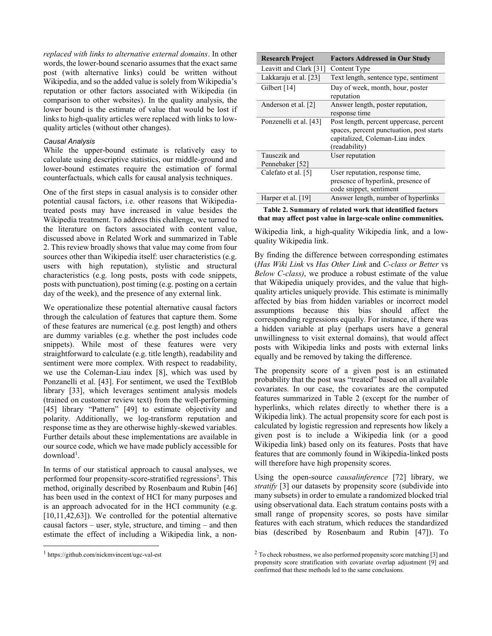*replaced with links to alternative external domains*. In other words, the lower-bound scenario assumes that the exact same post (with alternative links) could be written without Wikipedia, and so the added value is solely from Wikipedia's reputation or other factors associated with Wikipedia (in comparison to other websites). In the quality analysis, the lower bound is the estimate of value that would be lost if links to high-quality articles were replaced with links to lowquality articles (without other changes).

#### *Causal Analysis*

While the upper-bound estimate is relatively easy to calculate using descriptive statistics, our middle-ground and lower-bound estimates require the estimation of formal counterfactuals, which calls for causal analysis techniques.

One of the first steps in casual analysis is to consider other potential causal factors, i.e. other reasons that Wikipediatreated posts may have increased in value besides the Wikipedia treatment. To address this challenge, we turned to the literature on factors associated with content value, discussed above in Related Work and summarized in Table 2. This review broadly shows that value may come from four sources other than Wikipedia itself: user characteristics (e.g. users with high reputation), stylistic and structural characteristics (e.g. long posts, posts with code snippets, posts with punctuation), post timing (e.g. posting on a certain day of the week), and the presence of any external link.

We operationalize these potential alternative causal factors through the calculation of features that capture them. Some of these features are numerical (e.g. post length) and others are dummy variables (e.g. whether the post includes code snippets). While most of these features were very straightforward to calculate (e.g. title length), readability and sentiment were more complex. With respect to readability, we use the Coleman-Liau index [8], which was used by Ponzanelli et al. [43]. For sentiment, we used the TextBlob library [33], which leverages sentiment analysis models (trained on customer review text) from the well-performing [45] library "Pattern" [49] to estimate objectivity and polarity. Additionally, we log-transform reputation and response time as they are otherwise highly-skewed variables. Further details about these implementations are available in our source code, which we have made publicly accessible for download<sup>1</sup>.

In terms of our statistical approach to causal analyses, we performed four propensity-score-stratified regressions<sup>2</sup>. This method, originally described by Rosenbaum and Rubin [46] has been used in the context of HCI for many purposes and is an approach advocated for in the HCI community (e.g. [10,11,42,63]). We controlled for the potential alternative causal factors – user, style, structure, and timing – and then estimate the effect of including a Wikipedia link, a non-

 $\overline{a}$ 

| <b>Research Project</b>         | <b>Factors Addressed in Our Study</b>                                                                                                   |
|---------------------------------|-----------------------------------------------------------------------------------------------------------------------------------------|
| Leavitt and Clark [31]          | Content Type                                                                                                                            |
| Lakkaraju et al. [23]           | Text length, sentence type, sentiment                                                                                                   |
| Gilbert [14]                    | Day of week, month, hour, poster<br>reputation                                                                                          |
| Anderson et al. [2]             | Answer length, poster reputation,<br>response time                                                                                      |
| Ponzenelli et al. [43]          | Post length, percent uppercase, percent<br>spaces, percent punctuation, post starts<br>capitalized, Coleman-Liau index<br>(readability) |
| Tausczik and<br>Pennebaker [52] | User reputation                                                                                                                         |
| Calefato et al. [5]             | User reputation, response time,<br>presence of hyperlink, presence of<br>code snippet, sentiment                                        |
| Harper et al. [19]              | Answer length, number of hyperlinks                                                                                                     |

**Table 2. Summary of related work that identified factors that may affect post value in large-scale online communities.**

Wikipedia link, a high-quality Wikipedia link, and a lowquality Wikipedia link.

By finding the difference between corresponding estimates (*Has Wiki Link* vs *Has Other Link* and *C-class or Better* vs *Below C-class)*, we produce a robust estimate of the value that Wikipedia uniquely provides, and the value that highquality articles uniquely provide. This estimate is minimally affected by bias from hidden variables or incorrect model assumptions because this bias should affect the corresponding regressions equally. For instance, if there was a hidden variable at play (perhaps users have a general unwillingness to visit external domains), that would affect posts with Wikipedia links and posts with external links equally and be removed by taking the difference.

The propensity score of a given post is an estimated probability that the post was "treated" based on all available covariates. In our case, the covariates are the computed features summarized in Table 2 (except for the number of hyperlinks, which relates directly to whether there is a Wikipedia link). The actual propensity score for each post is calculated by logistic regression and represents how likely a given post is to include a Wikipedia link (or a good Wikipedia link) based only on its features. Posts that have features that are commonly found in Wikipedia-linked posts will therefore have high propensity scores.

Using the open-source *causalinference* [72] library, we *stratify* [3] our datasets by propensity score (subdivide into many subsets) in order to emulate a randomized blocked trial using observational data. Each stratum contains posts with a small range of propensity scores, so posts have similar features with each stratum, which reduces the standardized bias (described by Rosenbaum and Rubin [47]). To

<sup>1</sup> https://github.com/nickmvincent/ugc-val-est

 $2$  To check robustness, we also performed propensity score matching [3] and propensity score stratification with covariate overlap adjustment [9] and confirmed that these methods led to the same conclusions.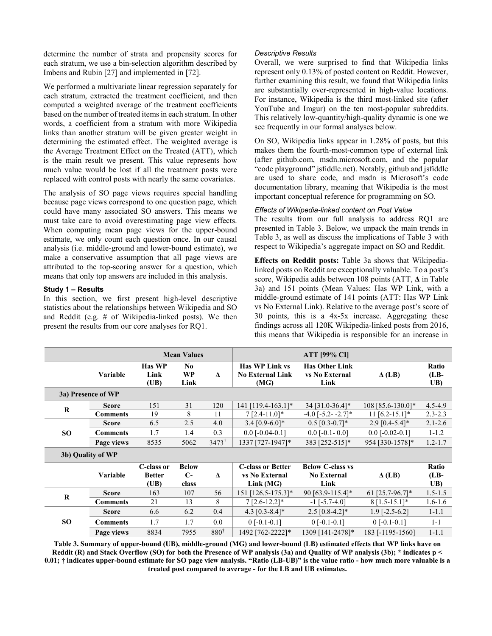determine the number of strata and propensity scores for each stratum, we use a bin-selection algorithm described by Imbens and Rubin [27] and implemented in [72].

We performed a multivariate linear regression separately for each stratum, extracted the treatment coefficient, and then computed a weighted average of the treatment coefficients based on the number of treated items in each stratum. In other words, a coefficient from a stratum with more Wikipedia links than another stratum will be given greater weight in determining the estimated effect. The weighted average is the Average Treatment Effect on the Treated (ATT), which is the main result we present. This value represents how much value would be lost if all the treatment posts were replaced with control posts with nearly the same covariates.

The analysis of SO page views requires special handling because page views correspond to one question page, which could have many associated SO answers. This means we must take care to avoid overestimating page view effects. When computing mean page views for the upper-bound estimate, we only count each question once. In our causal analysis (i.e. middle-ground and lower-bound estimate), we make a conservative assumption that all page views are attributed to the top-scoring answer for a question, which means that only top answers are included in this analysis.

## **Study 1 – Results**

In this section, we first present high-level descriptive statistics about the relationships between Wikipedia and SO and Reddit (e.g. # of Wikipedia-linked posts). We then present the results from our core analyses for RQ1.

#### *Descriptive Results*

Overall, we were surprised to find that Wikipedia links represent only 0.13% of posted content on Reddit. However, further examining this result, we found that Wikipedia links are substantially over-represented in high-value locations. For instance, Wikipedia is the third most-linked site (after YouTube and Imgur) on the ten most-popular subreddits. This relatively low-quantity/high-quality dynamic is one we see frequently in our formal analyses below.

On SO, Wikipedia links appear in 1.28% of posts, but this makes them the fourth-most-common type of external link (after github.com, msdn.microsoft.com, and the popular "code playground" jsfiddle.net). Notably, github and jsfiddle are used to share code, and msdn is Microsoft's code documentation library, meaning that Wikipedia is the most important conceptual reference for programming on SO.

#### *Effects of Wikipedia-linked content on Post Value*

The results from our full analysis to address RQ1 are presented in Table 3. Below, we unpack the main trends in Table 3, as well as discuss the implications of Table 3 with respect to Wikipedia's aggregate impact on SO and Reddit.

**Effects on Reddit posts:** Table 3a shows that Wikipedialinked posts on Reddit are exceptionally valuable. To a post's score, Wikipedia adds between 108 points (ATT, **Δ** in Table 3a) and 151 points (Mean Values: Has WP Link, with a middle-ground estimate of 141 points (ATT: Has WP Link vs No External Link). Relative to the average post's score of 30 points, this is a 4x-5x increase. Aggregating these findings across all 120K Wikipedia-linked posts from 2016, this means that Wikipedia is responsible for an increase in

|                    |                 |                                     | <b>Mean Values</b>                  |                  |                                                          | <b>ATT [99% CI]</b>                                   |                     |                               |  |
|--------------------|-----------------|-------------------------------------|-------------------------------------|------------------|----------------------------------------------------------|-------------------------------------------------------|---------------------|-------------------------------|--|
|                    | Variable        | <b>Has WP</b><br>Link<br>(UB)       | N <sub>0</sub><br><b>WP</b><br>Link | $\Lambda$        | <b>Has WP Link vs</b><br><b>No External Link</b><br>(MG) | <b>Has Other Link</b><br>vs No External<br>Link       | $\Delta$ (LB)       | <b>Ratio</b><br>$(LB-$<br>UB) |  |
| 3a) Presence of WP |                 |                                     |                                     |                  |                                                          |                                                       |                     |                               |  |
| $\bf R$            | <b>Score</b>    | 151                                 | 31                                  | 120              | $141$ [119.4-163.1]*                                     | $34$ [31.0-36.4]*                                     | $108$ [85.6-130.0]* | $4.5 - 4.9$                   |  |
|                    | <b>Comments</b> | 19                                  | 8                                   | 11               | $7$ [2.4-11.0]*                                          | $-4.0$ [ $-5.2 - -2.7$ ]*                             | 11 $[6.2 - 15.1]$ * | $2.3 - 2.3$                   |  |
|                    | <b>Score</b>    | 6.5                                 | 2.5                                 | 4.0              | $3.4$ [0.9-6.0]*                                         | $0.5$ [0.3-0.7]*                                      | $2.9$ [0.4-5.4]*    | $2.1 - 2.6$                   |  |
| SO <sub>1</sub>    | <b>Comments</b> | 1.7                                 | 1.4                                 | 0.3              | $0.0$ [-0.04-0.1]                                        | $0.0$ [-0.1 - 0.0]                                    | $0.0$ [-0.02-0.1]   | $1 - 1.2$                     |  |
|                    | Page views      | 8535                                | 5062                                | $3473^{\dagger}$ | 1337 [727-1947]*                                         | 383 [252-515]*                                        | 954 [330-1578]*     | $1.2 - 1.7$                   |  |
| 3b) Quality of WP  |                 |                                     |                                     |                  |                                                          |                                                       |                     |                               |  |
|                    | Variable        | C-class or<br><b>Better</b><br>(UB) | <b>Below</b><br>$C-$<br>class       | $\Lambda$        | <b>C-class or Better</b><br>vs No External<br>Link(MG)   | <b>Below C-class vs</b><br><b>No External</b><br>Link | $\Delta$ (LB)       | Ratio<br>$(LB-$<br>UB)        |  |
| $\bf R$            | <b>Score</b>    | 163                                 | 107                                 | 56               | 151 [126.5-175.3]*                                       | 90 [63.9-115.4]*                                      | 61 $[25.7-96.7]*$   | $1.5 - 1.5$                   |  |
|                    | <b>Comments</b> | 21                                  | 13                                  | 8                | $7$ [2.6-12.2]*                                          | $-1$ [ $-5.7-4.0$ ]                                   | $8$ [1.5-15.1]*     | $1.6 - 1.6$                   |  |
|                    | <b>Score</b>    | 6.6                                 | 6.2                                 | 0.4              | 4.3 $[0.3-8.4]*$                                         | $2.5$ [0.8-4.2]*                                      | $1.9$ [-2.5-6.2]    | $1 - 1.1$                     |  |
| SO <sub>1</sub>    | <b>Comments</b> | 1.7                                 | 1.7                                 | 0.0              | $0$ [-0.1-0.1]                                           | $0$ [-0.1-0.1]                                        | $0$ [-0.1-0.1]      | $1 - 1$                       |  |
|                    | Page views      | 8834                                | 7955                                | $880^{\dagger}$  | 1492 [762-2222]*                                         | 1309 [141-2478]*                                      | 183 [-1195-1560]    | $1 - 1.1$                     |  |

**Table 3. Summary of upper-bound (UB), middle-ground (MG) and lower-bound (LB) estimated effects that WP links have on Reddit (R) and Stack Overflow (SO) for both the Presence of WP analysis (3a) and Quality of WP analysis (3b); \* indicates p < 0.01; † indicates upper-bound estimate for SO page view analysis. "Ratio (LB-UB)" is the value ratio - how much more valuable is a treated post compared to average - for the LB and UB estimates.**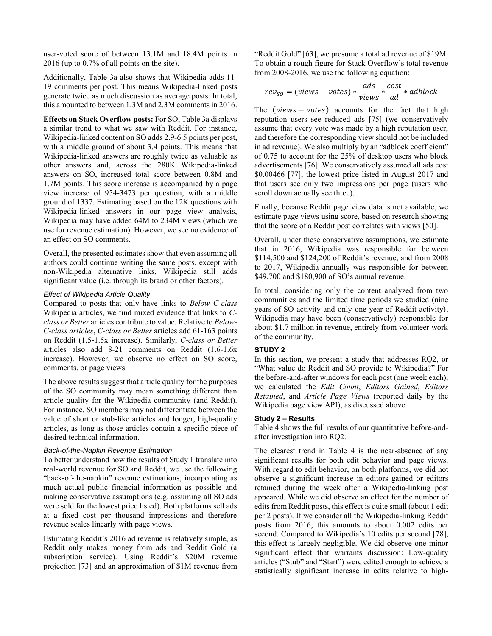user-voted score of between 13.1M and 18.4M points in 2016 (up to 0.7% of all points on the site).

Additionally, Table 3a also shows that Wikipedia adds 11- 19 comments per post. This means Wikipedia-linked posts generate twice as much discussion as average posts. In total, this amounted to between 1.3M and 2.3M comments in 2016.

**Effects on Stack Overflow posts:** For SO, Table 3a displays a similar trend to what we saw with Reddit. For instance, Wikipedia-linked content on SO adds 2.9-6.5 points per post, with a middle ground of about 3.4 points. This means that Wikipedia-linked answers are roughly twice as valuable as other answers and, across the 280K Wikipedia-linked answers on SO, increased total score between 0.8M and 1.7M points. This score increase is accompanied by a page view increase of 954-3473 per question, with a middle ground of 1337. Estimating based on the 12K questions with Wikipedia-linked answers in our page view analysis, Wikipedia may have added 64M to 234M views (which we use for revenue estimation). However, we see no evidence of an effect on SO comments.

Overall, the presented estimates show that even assuming all authors could continue writing the same posts, except with non-Wikipedia alternative links, Wikipedia still adds significant value (i.e. through its brand or other factors).

#### *Effect of Wikipedia Article Quality*

Compared to posts that only have links to *Below C-class* Wikipedia articles, we find mixed evidence that links to *Cclass or Better* articles contribute to value. Relative to *Below-C-class articles*, *C-class or Better* articles add 61-163 points on Reddit (1.5-1.5x increase). Similarly, *C-class or Better* articles also add 8-21 comments on Reddit (1.6-1.6x increase). However, we observe no effect on SO score, comments, or page views.

The above results suggest that article quality for the purposes of the SO community may mean something different than article quality for the Wikipedia community (and Reddit). For instance, SO members may not differentiate between the value of short or stub-like articles and longer, high-quality articles, as long as those articles contain a specific piece of desired technical information.

## *Back-of-the-Napkin Revenue Estimation*

To better understand how the results of Study 1 translate into real-world revenue for SO and Reddit, we use the following "back-of-the-napkin" revenue estimations, incorporating as much actual public financial information as possible and making conservative assumptions (e.g. assuming all SO ads were sold for the lowest price listed). Both platforms sell ads at a fixed cost per thousand impressions and therefore revenue scales linearly with page views.

Estimating Reddit's 2016 ad revenue is relatively simple, as Reddit only makes money from ads and Reddit Gold (a subscription service). Using Reddit's \$20M revenue projection [73] and an approximation of \$1M revenue from

"Reddit Gold" [63], we presume a total ad revenue of \$19M. To obtain a rough figure for Stack Overflow's total revenue from 2008-2016, we use the following equation:

$$
rev_{SO} = (views - votes) * \frac{ads}{views} * \frac{cost}{ad} * adblock
$$

The ( $views - votes$ ) accounts for the fact that high reputation users see reduced ads [75] (we conservatively assume that every vote was made by a high reputation user, and therefore the corresponding view should not be included in ad revenue). We also multiply by an "adblock coefficient" of 0.75 to account for the 25% of desktop users who block advertisements [76]. We conservatively assumed all ads cost \$0.00466 [77], the lowest price listed in August 2017 and that users see only two impressions per page (users who scroll down actually see three).

Finally, because Reddit page view data is not available, we estimate page views using score, based on research showing that the score of a Reddit post correlates with views [50].

Overall, under these conservative assumptions, we estimate that in 2016, Wikipedia was responsible for between \$114,500 and \$124,200 of Reddit's revenue, and from 2008 to 2017, Wikipedia annually was responsible for between \$49,700 and \$180,900 of SO's annual revenue.

In total, considering only the content analyzed from two communities and the limited time periods we studied (nine years of SO activity and only one year of Reddit activity), Wikipedia may have been (conservatively) responsible for about \$1.7 million in revenue, entirely from volunteer work of the community.

## **STUDY 2**

In this section, we present a study that addresses RQ2, or "What value do Reddit and SO provide to Wikipedia?" For the before-and-after windows for each post (one week each), we calculated the *Edit Count*, *Editors Gained*, *Editors Retained*, and *Article Page Views* (reported daily by the Wikipedia page view API), as discussed above.

#### **Study 2 – Results**

Table 4 shows the full results of our quantitative before-andafter investigation into RQ2.

The clearest trend in Table 4 is the near-absence of any significant results for both edit behavior and page views. With regard to edit behavior, on both platforms, we did not observe a significant increase in editors gained or editors retained during the week after a Wikipedia-linking post appeared. While we did observe an effect for the number of edits from Reddit posts, this effect is quite small (about 1 edit per 2 posts). If we consider all the Wikipedia-linking Reddit posts from 2016, this amounts to about 0.002 edits per second. Compared to Wikipedia's 10 edits per second [78], this effect is largely negligible. We did observe one minor significant effect that warrants discussion: Low-quality articles ("Stub" and "Start") were edited enough to achieve a statistically significant increase in edits relative to high-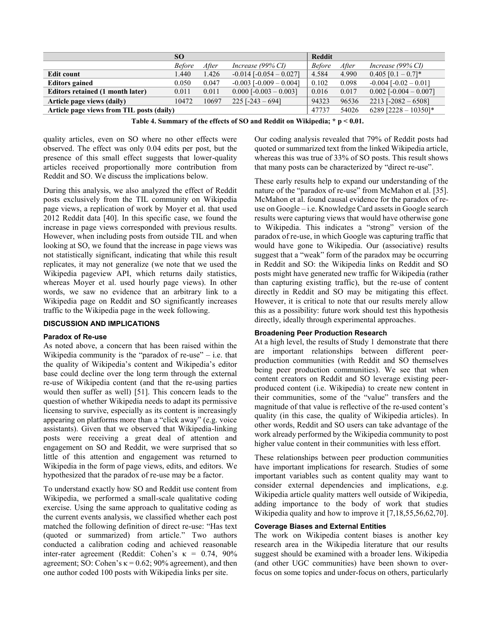|                                           | SO <sub>1</sub> |       |                               | <b>Reddit</b> |       |                              |
|-------------------------------------------|-----------------|-------|-------------------------------|---------------|-------|------------------------------|
|                                           | <b>Before</b>   | After | Increase $(99\% \text{ CI})$  | <b>Before</b> | After | Increase $(99\% \text{ CI})$ |
| Edit count                                | l.440           | 1.426 | $-0.014$ [ $-0.054 - 0.027$ ] | 4.584         | 4.990 | $0.405$ $[0.1 - 0.7]$ *      |
| <b>Editors gained</b>                     | 0.050           | 0.047 | $-0.003$ [ $-0.009 - 0.004$ ] | 0.102         | 0.098 | $-0.004$ [ $-0.02 - 0.01$ ]  |
| Editors retained (1 month later)          | 0.011           | 0.011 | $0.000$ [-0.003 - 0.003]      | 0.016         | 0.017 | $0.002$ [-0.004 - 0.007]     |
| Article page views (daily)                | 10472           | 10697 | $225$ [-243 - 694]            | 94323         | 96536 | $2213$ [-2082 - 6508]        |
| Article page views from TIL posts (daily) |                 |       |                               | 47737         | 54026 | $6289$ [2228 - 10350]*       |

**Table 4. Summary of the effects of SO and Reddit on Wikipedia; \* p < 0.01.**

quality articles, even on SO where no other effects were observed. The effect was only 0.04 edits per post, but the presence of this small effect suggests that lower-quality articles received proportionally more contribution from Reddit and SO. We discuss the implications below.

During this analysis, we also analyzed the effect of Reddit posts exclusively from the TIL community on Wikipedia page views, a replication of work by Moyer et al. that used 2012 Reddit data [40]. In this specific case, we found the increase in page views corresponded with previous results. However, when including posts from outside TIL and when looking at SO, we found that the increase in page views was not statistically significant, indicating that while this result replicates, it may not generalize (we note that we used the Wikipedia pageview API, which returns daily statistics, whereas Moyer et al. used hourly page views). In other words, we saw no evidence that an arbitrary link to a Wikipedia page on Reddit and SO significantly increases traffic to the Wikipedia page in the week following.

## **DISCUSSION AND IMPLICATIONS**

#### **Paradox of Re-use**

As noted above, a concern that has been raised within the Wikipedia community is the "paradox of re-use" – i.e. that the quality of Wikipedia's content and Wikipedia's editor base could decline over the long term through the external re-use of Wikipedia content (and that the re-using parties would then suffer as well) [51]. This concern leads to the question of whether Wikipedia needs to adapt its permissive licensing to survive, especially as its content is increasingly appearing on platforms more than a "click away" (e.g. voice assistants). Given that we observed that Wikipedia-linking posts were receiving a great deal of attention and engagement on SO and Reddit, we were surprised that so little of this attention and engagement was returned to Wikipedia in the form of page views, edits, and editors. We hypothesized that the paradox of re-use may be a factor.

To understand exactly how SO and Reddit use content from Wikipedia, we performed a small-scale qualitative coding exercise. Using the same approach to qualitative coding as the current events analysis, we classified whether each post matched the following definition of direct re-use: "Has text (quoted or summarized) from article." Two authors conducted a calibration coding and achieved reasonable inter-rater agreement (Reddit: Cohen's  $\kappa = 0.74, 90\%$ agreement; SO: Cohen's  $\kappa$  = 0.62; 90% agreement), and then one author coded 100 posts with Wikipedia links per site.

Our coding analysis revealed that 79% of Reddit posts had quoted or summarized text from the linked Wikipedia article, whereas this was true of 33% of SO posts. This result shows that many posts can be characterized by "direct re-use".

These early results help to expand our understanding of the nature of the "paradox of re-use" from McMahon et al. [35]. McMahon et al. found causal evidence for the paradox of reuse on Google – i.e. Knowledge Card assets in Google search results were capturing views that would have otherwise gone to Wikipedia. This indicates a "strong" version of the paradox of re-use, in which Google was capturing traffic that would have gone to Wikipedia. Our (associative) results suggest that a "weak" form of the paradox may be occurring in Reddit and SO: the Wikipedia links on Reddit and SO posts might have generated new traffic for Wikipedia (rather than capturing existing traffic), but the re-use of content directly in Reddit and SO may be mitigating this effect. However, it is critical to note that our results merely allow this as a possibility: future work should test this hypothesis directly, ideally through experimental approaches.

## **Broadening Peer Production Research**

At a high level, the results of Study 1 demonstrate that there are important relationships between different peerproduction communities (with Reddit and SO themselves being peer production communities). We see that when content creators on Reddit and SO leverage existing peerproduced content (i.e. Wikipedia) to create new content in their communities, some of the "value" transfers and the magnitude of that value is reflective of the re-used content's quality (in this case, the quality of Wikipedia articles). In other words, Reddit and SO users can take advantage of the work already performed by the Wikipedia community to post higher value content in their communities with less effort.

These relationships between peer production communities have important implications for research. Studies of some important variables such as content quality may want to consider external dependencies and implications, e.g. Wikipedia article quality matters well outside of Wikipedia, adding importance to the body of work that studies Wikipedia quality and how to improve it [7,18,55,56,62,70].

#### **Coverage Biases and External Entities**

The work on Wikipedia content biases is another key research area in the Wikipedia literature that our results suggest should be examined with a broader lens. Wikipedia (and other UGC communities) have been shown to overfocus on some topics and under-focus on others, particularly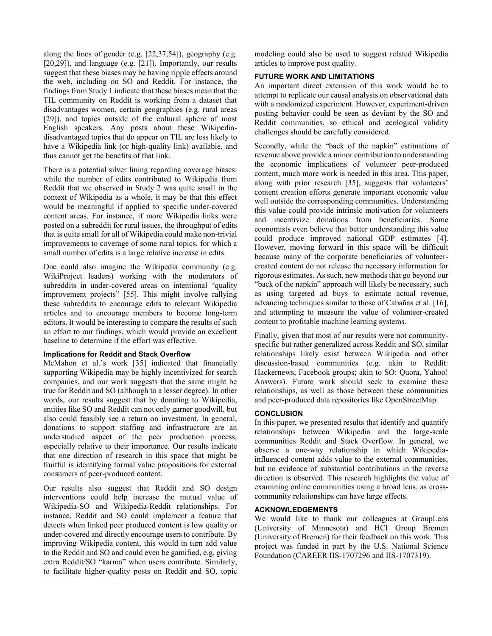along the lines of gender (e.g. [22,37,54]), geography (e.g. [20,29]), and language (e.g. [21]). Importantly, our results suggest that these biases may be having ripple effects around the web, including on SO and Reddit. For instance, the findings from Study 1 indicate that these biases mean that the TIL community on Reddit is working from a dataset that disadvantages women, certain geographies (e.g. rural areas [29]), and topics outside of the cultural sphere of most English speakers. Any posts about these Wikipediadisadvantaged topics that do appear on TIL are less likely to have a Wikipedia link (or high-quality link) available, and thus cannot get the benefits of that link.

There is a potential silver lining regarding coverage biases: while the number of edits contributed to Wikipedia from Reddit that we observed in Study 2 was quite small in the context of Wikipedia as a whole, it may be that this effect would be meaningful if applied to specific under-covered content areas. For instance, if more Wikipedia links were posted on a subreddit for rural issues, the throughput of edits that is quite small for all of Wikipedia could make non-trivial improvements to coverage of some rural topics, for which a small number of edits is a large relative increase in edits.

One could also imagine the Wikipedia community (e.g. WikiProject leaders) working with the moderators of subreddits in under-covered areas on intentional "quality improvement projects" [55]. This might involve rallying these subreddits to encourage edits to relevant Wikipedia articles and to encourage members to become long-term editors. It would be interesting to compare the results of such an effort to our findings, which would provide an excellent baseline to determine if the effort was effective.

## **Implications for Reddit and Stack Overflow**

McMahon et al.'s work [35] indicated that financially supporting Wikipedia may be highly incentivized for search companies, and our work suggests that the same might be true for Reddit and SO (although to a lesser degree). In other words, our results suggest that by donating to Wikipedia, entities like SO and Reddit can not only garner goodwill, but also could feasibly see a return on investment. In general, donations to support staffing and infrastructure are an understudied aspect of the peer production process, especially relative to their importance. Our results indicate that one direction of research in this space that might be fruitful is identifying formal value propositions for external consumers of peer-produced content.

Our results also suggest that Reddit and SO design interventions could help increase the mutual value of Wikipedia-SO and Wikipedia-Reddit relationships. For instance, Reddit and SO could implement a feature that detects when linked peer produced content is low quality or under-covered and directly encourage users to contribute. By improving Wikipedia content, this would in turn add value to the Reddit and SO and could even be gamified, e.g. giving extra Reddit/SO "karma" when users contribute. Similarly, to facilitate higher-quality posts on Reddit and SO, topic

modeling could also be used to suggest related Wikipedia articles to improve post quality.

## **FUTURE WORK AND LIMITATIONS**

An important direct extension of this work would be to attempt to replicate our causal analysis on observational data with a randomized experiment. However, experiment-driven posting behavior could be seen as deviant by the SO and Reddit communities, so ethical and ecological validity challenges should be carefully considered.

Secondly, while the "back of the napkin" estimations of revenue above provide a minor contribution to understanding the economic implications of volunteer peer-produced content, much more work is needed in this area. This paper, along with prior research [35], suggests that volunteers' content creation efforts generate important economic value well outside the corresponding communities. Understanding this value could provide intrinsic motivation for volunteers and incentivize donations from beneficiaries. Some economists even believe that better understanding this value could produce improved national GDP estimates [4]. However, moving forward in this space will be difficult because many of the corporate beneficiaries of volunteercreated content do not release the necessary information for rigorous estimates. As such, new methods that go beyond our "back of the napkin" approach will likely be necessary, such as using targeted ad buys to estimate actual revenue, advancing techniques similar to those of [Cabañas](http://dl.acm.org/author_page.cfm?id=99659163246&coll=DL&dl=ACM&trk=0&cfid=986247827&cftoken=99498081) et al. [16], and attempting to measure the value of volunteer-created content to profitable machine learning systems.

Finally, given that most of our results were not communityspecific but rather generalized across Reddit and SO, similar relationships likely exist between Wikipedia and other discussion-based communities (e.g. akin to Reddit: Hackernews, Facebook groups; akin to SO: Quora, Yahoo! Answers). Future work should seek to examine these relationships, as well as those between these communities and peer-produced data repositories like OpenStreetMap.

#### **CONCLUSION**

In this paper, we presented results that identify and quantify relationships between Wikipedia and the large-scale communities Reddit and Stack Overflow. In general, we observe a one-way relationship in which Wikipediainfluenced content adds value to the external communities, but no evidence of substantial contributions in the reverse direction is observed. This research highlights the value of examining online communities using a broad lens, as crosscommunity relationships can have large effects.

### **ACKNOWLEDGEMENTS**

We would like to thank our colleagues at GroupLens (University of Minnesota) and HCI Group Bremen (University of Bremen) for their feedback on this work. This project was funded in part by the U.S. National Science Foundation (CAREER IIS-1707296 and IIS-1707319).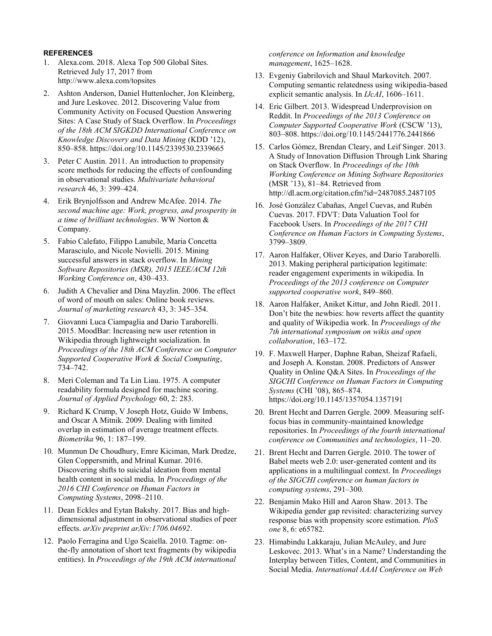## **REFERENCES**

- 1. Alexa.com. 2018. Alexa Top 500 Global Sites. Retrieved July 17, 2017 from http://www.alexa.com/topsites
- 2. Ashton Anderson, Daniel Huttenlocher, Jon Kleinberg, and Jure Leskovec. 2012. Discovering Value from Community Activity on Focused Question Answering Sites: A Case Study of Stack Overflow. In *Proceedings of the 18th ACM SIGKDD International Conference on Knowledge Discovery and Data Mining* (KDD '12), 850–858. https://doi.org/10.1145/2339530.2339665
- 3. Peter C Austin. 2011. An introduction to propensity score methods for reducing the effects of confounding in observational studies. *Multivariate behavioral research* 46, 3: 399–424.
- 4. Erik Brynjolfsson and Andrew McAfee. 2014. *The second machine age: Work, progress, and prosperity in a time of brilliant technologies*. WW Norton & Company.
- 5. Fabio Calefato, Filippo Lanubile, Maria Concetta Marasciulo, and Nicole Novielli. 2015. Mining successful answers in stack overflow. In *Mining Software Repositories (MSR), 2015 IEEE/ACM 12th Working Conference on*, 430–433.
- 6. Judith A Chevalier and Dina Mayzlin. 2006. The effect of word of mouth on sales: Online book reviews. *Journal of marketing research* 43, 3: 345–354.
- 7. Giovanni Luca Ciampaglia and Dario Taraborelli. 2015. MoodBar: Increasing new user retention in Wikipedia through lightweight socialization. In *Proceedings of the 18th ACM Conference on Computer Supported Cooperative Work & Social Computing*, 734–742.
- 8. Meri Coleman and Ta Lin Liau. 1975. A computer readability formula designed for machine scoring. *Journal of Applied Psychology* 60, 2: 283.
- 9. Richard K Crump, V Joseph Hotz, Guido W Imbens, and Oscar A Mitnik. 2009. Dealing with limited overlap in estimation of average treatment effects. *Biometrika* 96, 1: 187–199.
- 10. Munmun De Choudhury, Emre Kiciman, Mark Dredze, Glen Coppersmith, and Mrinal Kumar. 2016. Discovering shifts to suicidal ideation from mental health content in social media. In *Proceedings of the 2016 CHI Conference on Human Factors in Computing Systems*, 2098–2110.
- 11. Dean Eckles and Eytan Bakshy. 2017. Bias and highdimensional adjustment in observational studies of peer effects. *arXiv preprint arXiv:1706.04692*.
- 12. Paolo Ferragina and Ugo Scaiella. 2010. Tagme: onthe-fly annotation of short text fragments (by wikipedia entities). In *Proceedings of the 19th ACM international*

*conference on Information and knowledge management*, 1625–1628.

- 13. Evgeniy Gabrilovich and Shaul Markovitch. 2007. Computing semantic relatedness using wikipedia-based explicit semantic analysis. In *IJcAI*, 1606–1611.
- 14. Eric Gilbert. 2013. Widespread Underprovision on Reddit. In *Proceedings of the 2013 Conference on Computer Supported Cooperative Work* (CSCW '13), 803–808. https://doi.org/10.1145/2441776.2441866
- 15. Carlos Gómez, Brendan Cleary, and Leif Singer. 2013. A Study of Innovation Diffusion Through Link Sharing on Stack Overflow. In *Proceedings of the 10th Working Conference on Mining Software Repositories* (MSR '13), 81–84. Retrieved from http://dl.acm.org/citation.cfm?id=2487085.2487105
- 16. José González Cabañas, Angel Cuevas, and Rubén Cuevas. 2017. FDVT: Data Valuation Tool for Facebook Users. In *Proceedings of the 2017 CHI Conference on Human Factors in Computing Systems*, 3799–3809.
- 17. Aaron Halfaker, Oliver Keyes, and Dario Taraborelli. 2013. Making peripheral participation legitimate: reader engagement experiments in wikipedia. In *Proceedings of the 2013 conference on Computer supported cooperative work*, 849–860.
- 18. Aaron Halfaker, Aniket Kittur, and John Riedl. 2011. Don't bite the newbies: how reverts affect the quantity and quality of Wikipedia work. In *Proceedings of the 7th international symposium on wikis and open collaboration*, 163–172.
- 19. F. Maxwell Harper, Daphne Raban, Sheizaf Rafaeli, and Joseph A. Konstan. 2008. Predictors of Answer Quality in Online Q&A Sites. In *Proceedings of the SIGCHI Conference on Human Factors in Computing Systems* (CHI '08), 865–874. https://doi.org/10.1145/1357054.1357191
- 20. Brent Hecht and Darren Gergle. 2009. Measuring selffocus bias in community-maintained knowledge repositories. In *Proceedings of the fourth international conference on Communities and technologies*, 11–20.
- 21. Brent Hecht and Darren Gergle. 2010. The tower of Babel meets web 2.0: user-generated content and its applications in a multilingual context. In *Proceedings of the SIGCHI conference on human factors in computing systems*, 291–300.
- 22. Benjamin Mako Hill and Aaron Shaw. 2013. The Wikipedia gender gap revisited: characterizing survey response bias with propensity score estimation. *PloS one* 8, 6: e65782.
- 23. Himabindu Lakkaraju, Julian McAuley, and Jure Leskovec. 2013. What's in a Name? Understanding the Interplay between Titles, Content, and Communities in Social Media. *International AAAI Conference on Web*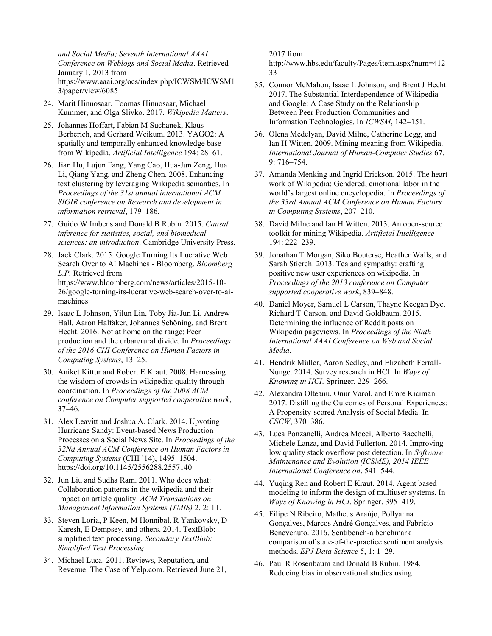*and Social Media; Seventh International AAAI Conference on Weblogs and Social Media*. Retrieved January 1, 2013 from https://www.aaai.org/ocs/index.php/ICWSM/ICWSM1 3/paper/view/6085

- 24. Marit Hinnosaar, Toomas Hinnosaar, Michael Kummer, and Olga Slivko. 2017. *Wikipedia Matters*.
- 25. Johannes Hoffart, Fabian M Suchanek, Klaus Berberich, and Gerhard Weikum. 2013. YAGO2: A spatially and temporally enhanced knowledge base from Wikipedia. *Artificial Intelligence* 194: 28–61.
- 26. Jian Hu, Lujun Fang, Yang Cao, Hua-Jun Zeng, Hua Li, Qiang Yang, and Zheng Chen. 2008. Enhancing text clustering by leveraging Wikipedia semantics. In *Proceedings of the 31st annual international ACM SIGIR conference on Research and development in information retrieval*, 179–186.
- 27. Guido W Imbens and Donald B Rubin. 2015. *Causal inference for statistics, social, and biomedical sciences: an introduction*. Cambridge University Press.
- 28. Jack Clark. 2015. Google Turning Its Lucrative Web Search Over to AI Machines - Bloomberg. *Bloomberg L.P.* Retrieved from https://www.bloomberg.com/news/articles/2015-10- 26/google-turning-its-lucrative-web-search-over-to-aimachines
- 29. Isaac L Johnson, Yilun Lin, Toby Jia-Jun Li, Andrew Hall, Aaron Halfaker, Johannes Schöning, and Brent Hecht. 2016. Not at home on the range: Peer production and the urban/rural divide. In *Proceedings of the 2016 CHI Conference on Human Factors in Computing Systems*, 13–25.
- 30. Aniket Kittur and Robert E Kraut. 2008. Harnessing the wisdom of crowds in wikipedia: quality through coordination. In *Proceedings of the 2008 ACM conference on Computer supported cooperative work*, 37–46.
- 31. Alex Leavitt and Joshua A. Clark. 2014. Upvoting Hurricane Sandy: Event-based News Production Processes on a Social News Site. In *Proceedings of the 32Nd Annual ACM Conference on Human Factors in Computing Systems* (CHI '14), 1495–1504. https://doi.org/10.1145/2556288.2557140
- 32. Jun Liu and Sudha Ram. 2011. Who does what: Collaboration patterns in the wikipedia and their impact on article quality. *ACM Transactions on Management Information Systems (TMIS)* 2, 2: 11.
- 33. Steven Loria, P Keen, M Honnibal, R Yankovsky, D Karesh, E Dempsey, and others. 2014. TextBlob: simplified text processing. *Secondary TextBlob: Simplified Text Processing*.
- 34. Michael Luca. 2011. Reviews, Reputation, and Revenue: The Case of Yelp.com. Retrieved June 21,

2017 from

http://www.hbs.edu/faculty/Pages/item.aspx?num=412 33

- 35. Connor McMahon, Isaac L Johnson, and Brent J Hecht. 2017. The Substantial Interdependence of Wikipedia and Google: A Case Study on the Relationship Between Peer Production Communities and Information Technologies. In *ICWSM*, 142–151.
- 36. Olena Medelyan, David Milne, Catherine Legg, and Ian H Witten. 2009. Mining meaning from Wikipedia. *International Journal of Human-Computer Studies* 67, 9: 716–754.
- 37. Amanda Menking and Ingrid Erickson. 2015. The heart work of Wikipedia: Gendered, emotional labor in the world's largest online encyclopedia. In *Proceedings of the 33rd Annual ACM Conference on Human Factors in Computing Systems*, 207–210.
- 38. David Milne and Ian H Witten. 2013. An open-source toolkit for mining Wikipedia. *Artificial Intelligence* 194: 222–239.
- 39. Jonathan T Morgan, Siko Bouterse, Heather Walls, and Sarah Stierch. 2013. Tea and sympathy: crafting positive new user experiences on wikipedia. In *Proceedings of the 2013 conference on Computer supported cooperative work*, 839–848.
- 40. Daniel Moyer, Samuel L Carson, Thayne Keegan Dye, Richard T Carson, and David Goldbaum. 2015. Determining the influence of Reddit posts on Wikipedia pageviews. In *Proceedings of the Ninth International AAAI Conference on Web and Social Media*.
- 41. Hendrik Müller, Aaron Sedley, and Elizabeth Ferrall-Nunge. 2014. Survey research in HCI. In *Ways of Knowing in HCI*. Springer, 229–266.
- 42. Alexandra Olteanu, Onur Varol, and Emre Kiciman. 2017. Distilling the Outcomes of Personal Experiences: A Propensity-scored Analysis of Social Media. In *CSCW*, 370–386.
- 43. Luca Ponzanelli, Andrea Mocci, Alberto Bacchelli, Michele Lanza, and David Fullerton. 2014. Improving low quality stack overflow post detection. In *Software Maintenance and Evolution (ICSME), 2014 IEEE International Conference on*, 541–544.
- 44. Yuqing Ren and Robert E Kraut. 2014. Agent based modeling to inform the design of multiuser systems. In *Ways of Knowing in HCI*. Springer, 395–419.
- 45. Filipe N Ribeiro, Matheus Araújo, Pollyanna Gonçalves, Marcos André Gonçalves, and Fabrício Benevenuto. 2016. Sentibench-a benchmark comparison of state-of-the-practice sentiment analysis methods. *EPJ Data Science* 5, 1: 1–29.
- 46. Paul R Rosenbaum and Donald B Rubin. 1984. Reducing bias in observational studies using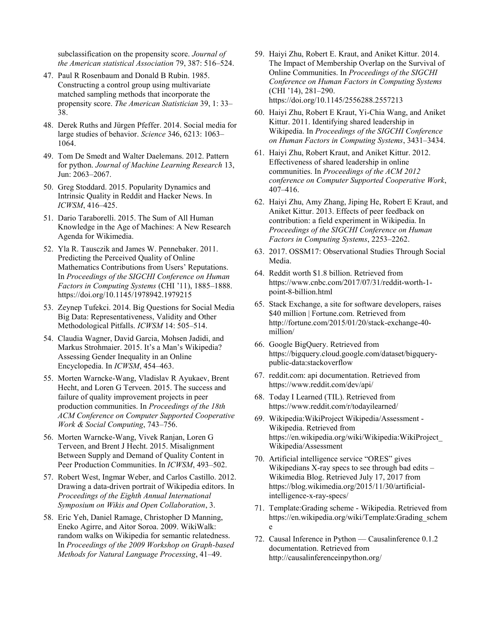subclassification on the propensity score. *Journal of the American statistical Association* 79, 387: 516–524.

- 47. Paul R Rosenbaum and Donald B Rubin. 1985. Constructing a control group using multivariate matched sampling methods that incorporate the propensity score. *The American Statistician* 39, 1: 33– 38.
- 48. Derek Ruths and Jürgen Pfeffer. 2014. Social media for large studies of behavior. *Science* 346, 6213: 1063– 1064.
- 49. Tom De Smedt and Walter Daelemans. 2012. Pattern for python. *Journal of Machine Learning Research* 13, Jun: 2063–2067.
- 50. Greg Stoddard. 2015. Popularity Dynamics and Intrinsic Quality in Reddit and Hacker News. In *ICWSM*, 416–425.
- 51. Dario Taraborelli. 2015. The Sum of All Human Knowledge in the Age of Machines: A New Research Agenda for Wikimedia.
- 52. Yla R. Tausczik and James W. Pennebaker. 2011. Predicting the Perceived Quality of Online Mathematics Contributions from Users' Reputations. In *Proceedings of the SIGCHI Conference on Human Factors in Computing Systems* (CHI '11), 1885–1888. https://doi.org/10.1145/1978942.1979215
- 53. Zeynep Tufekci. 2014. Big Questions for Social Media Big Data: Representativeness, Validity and Other Methodological Pitfalls. *ICWSM* 14: 505–514.
- 54. Claudia Wagner, David Garcia, Mohsen Jadidi, and Markus Strohmaier. 2015. It's a Man's Wikipedia? Assessing Gender Inequality in an Online Encyclopedia. In *ICWSM*, 454–463.
- 55. Morten Warncke-Wang, Vladislav R Ayukaev, Brent Hecht, and Loren G Terveen. 2015. The success and failure of quality improvement projects in peer production communities. In *Proceedings of the 18th ACM Conference on Computer Supported Cooperative Work & Social Computing*, 743–756.
- 56. Morten Warncke-Wang, Vivek Ranjan, Loren G Terveen, and Brent J Hecht. 2015. Misalignment Between Supply and Demand of Quality Content in Peer Production Communities. In *ICWSM*, 493–502.
- 57. Robert West, Ingmar Weber, and Carlos Castillo. 2012. Drawing a data-driven portrait of Wikipedia editors. In *Proceedings of the Eighth Annual International Symposium on Wikis and Open Collaboration*, 3.
- 58. Eric Yeh, Daniel Ramage, Christopher D Manning, Eneko Agirre, and Aitor Soroa. 2009. WikiWalk: random walks on Wikipedia for semantic relatedness. In *Proceedings of the 2009 Workshop on Graph-based Methods for Natural Language Processing*, 41–49.
- 59. Haiyi Zhu, Robert E. Kraut, and Aniket Kittur. 2014. The Impact of Membership Overlap on the Survival of Online Communities. In *Proceedings of the SIGCHI Conference on Human Factors in Computing Systems* (CHI '14), 281–290. https://doi.org/10.1145/2556288.2557213
- 60. Haiyi Zhu, Robert E Kraut, Yi-Chia Wang, and Aniket Kittur. 2011. Identifying shared leadership in Wikipedia. In *Proceedings of the SIGCHI Conference on Human Factors in Computing Systems*, 3431–3434.
- 61. Haiyi Zhu, Robert Kraut, and Aniket Kittur. 2012. Effectiveness of shared leadership in online communities. In *Proceedings of the ACM 2012 conference on Computer Supported Cooperative Work*, 407–416.
- 62. Haiyi Zhu, Amy Zhang, Jiping He, Robert E Kraut, and Aniket Kittur. 2013. Effects of peer feedback on contribution: a field experiment in Wikipedia. In *Proceedings of the SIGCHI Conference on Human Factors in Computing Systems*, 2253–2262.
- 63. 2017. OSSM17: Observational Studies Through Social Media.
- 64. Reddit worth \$1.8 billion. Retrieved from https://www.cnbc.com/2017/07/31/reddit-worth-1 point-8-billion.html
- 65. Stack Exchange, a site for software developers, raises \$40 million | Fortune.com. Retrieved from http://fortune.com/2015/01/20/stack-exchange-40 million/
- 66. Google BigQuery. Retrieved from https://bigquery.cloud.google.com/dataset/bigquerypublic-data:stackoverflow
- 67. reddit.com: api documentation. Retrieved from https://www.reddit.com/dev/api/
- 68. Today I Learned (TIL). Retrieved from https://www.reddit.com/r/todayilearned/
- 69. Wikipedia:WikiProject Wikipedia/Assessment Wikipedia. Retrieved from https://en.wikipedia.org/wiki/Wikipedia:WikiProject\_ Wikipedia/Assessment
- 70. Artificial intelligence service "ORES" gives Wikipedians X-ray specs to see through bad edits – Wikimedia Blog. Retrieved July 17, 2017 from https://blog.wikimedia.org/2015/11/30/artificialintelligence-x-ray-specs/
- 71. Template:Grading scheme Wikipedia. Retrieved from https://en.wikipedia.org/wiki/Template:Grading\_schem e
- 72. Causal Inference in Python Causalinference 0.1.2 documentation. Retrieved from http://causalinferenceinpython.org/